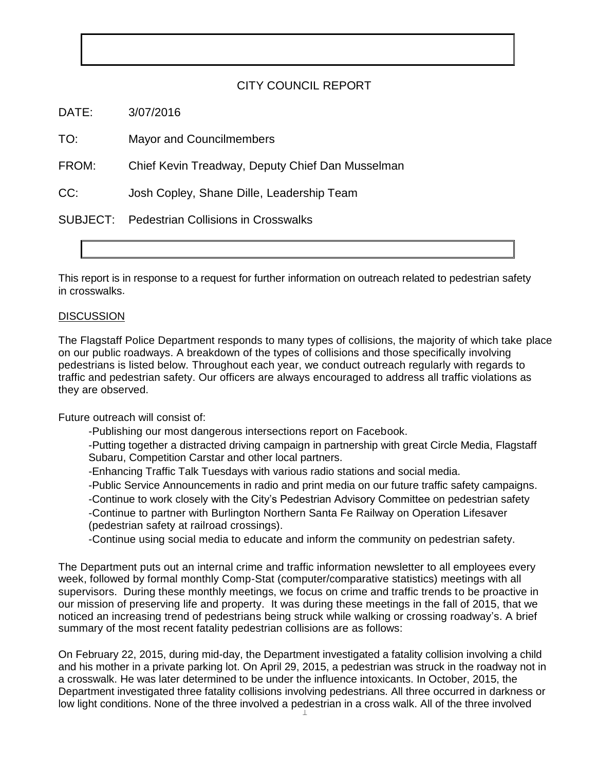## CITY COUNCIL REPORT

DATE: 3/07/2016

TO: Mayor and Councilmembers

FROM: Chief Kevin Treadway, Deputy Chief Dan Musselman

CC: Josh Copley, Shane Dille, Leadership Team

SUBJECT: Pedestrian Collisions in Crosswalks

This report is in response to a request for further information on outreach related to pedestrian safety in crosswalks.

## **DISCUSSION**

The Flagstaff Police Department responds to many types of collisions, the majority of which take place on our public roadways. A breakdown of the types of collisions and those specifically involving pedestrians is listed below. Throughout each year, we conduct outreach regularly with regards to traffic and pedestrian safety. Our officers are always encouraged to address all traffic violations as they are observed.

Future outreach will consist of:

-Publishing our most dangerous intersections report on Facebook.

-Putting together a distracted driving campaign in partnership with great Circle Media, Flagstaff Subaru, Competition Carstar and other local partners.

-Enhancing Traffic Talk Tuesdays with various radio stations and social media.

-Public Service Announcements in radio and print media on our future traffic safety campaigns.

-Continue to work closely with the City's Pedestrian Advisory Committee on pedestrian safety -Continue to partner with Burlington Northern Santa Fe Railway on Operation Lifesaver (pedestrian safety at railroad crossings).

-Continue using social media to educate and inform the community on pedestrian safety.

The Department puts out an internal crime and traffic information newsletter to all employees every week, followed by formal monthly Comp-Stat (computer/comparative statistics) meetings with all supervisors. During these monthly meetings, we focus on crime and traffic trends to be proactive in our mission of preserving life and property. It was during these meetings in the fall of 2015, that we noticed an increasing trend of pedestrians being struck while walking or crossing roadway's. A brief summary of the most recent fatality pedestrian collisions are as follows:

low light conditions. None of the three involved a pedestrian in a cross walk. All of the three involved On February 22, 2015, during mid-day, the Department investigated a fatality collision involving a child and his mother in a private parking lot. On April 29, 2015, a pedestrian was struck in the roadway not in a crosswalk. He was later determined to be under the influence intoxicants. In October, 2015, the Department investigated three fatality collisions involving pedestrians. All three occurred in darkness or